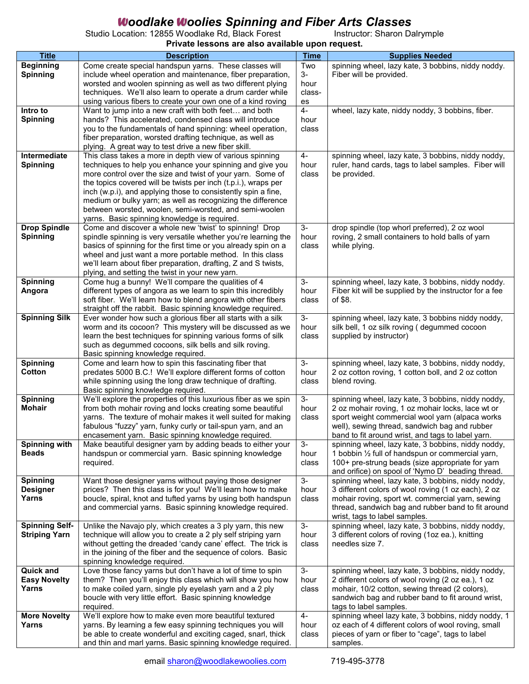## W*oodlake* W*oolies Spinning and Fiber Arts Classes*

Studio Location: 12855 Woodlake Rd, Black Forest **Instructor: Sharon Dalrymple** 

**Private lessons are also available upon request.**

| <b>Title</b>          | <b>Description</b>                                                                                      | <b>Time</b> | <b>Supplies Needed</b>                                                              |
|-----------------------|---------------------------------------------------------------------------------------------------------|-------------|-------------------------------------------------------------------------------------|
| <b>Beginning</b>      | Come create special handspun yarns. These classes will                                                  | Two         | spinning wheel, lazy kate, 3 bobbins, niddy noddy.                                  |
| <b>Spinning</b>       | include wheel operation and maintenance, fiber preparation,                                             | $3-$        | Fiber will be provided.                                                             |
|                       | worsted and woolen spinning as well as two different plying                                             | hour        |                                                                                     |
|                       | techniques. We'll also learn to operate a drum carder while                                             | class-      |                                                                                     |
|                       | using various fibers to create your own one of a kind roving                                            | es          |                                                                                     |
| Intro to              | Want to jump into a new craft with both feet and both                                                   | 4-          | wheel, lazy kate, niddy noddy, 3 bobbins, fiber.                                    |
| <b>Spinning</b>       | hands? This accelerated, condensed class will introduce                                                 | hour        |                                                                                     |
|                       | you to the fundamentals of hand spinning: wheel operation,                                              | class       |                                                                                     |
|                       | fiber preparation, worsted drafting technique, as well as                                               |             |                                                                                     |
|                       | plying. A great way to test drive a new fiber skill.                                                    |             |                                                                                     |
| Intermediate          | This class takes a more in depth view of various spinning                                               | $4-$        | spinning wheel, lazy kate, 3 bobbins, niddy noddy,                                  |
| <b>Spinning</b>       | techniques to help you enhance your spinning and give you                                               | hour        | ruler, hand cards, tags to label samples. Fiber will                                |
|                       | more control over the size and twist of your yarn. Some of                                              | class       | be provided.                                                                        |
|                       | the topics covered will be twists per inch (t.p.i.), wraps per                                          |             |                                                                                     |
|                       | inch (w.p.i), and applying those to consistently spin a fine,                                           |             |                                                                                     |
|                       | medium or bulky yarn; as well as recognizing the difference                                             |             |                                                                                     |
|                       | between worsted, woolen, semi-worsted, and semi-woolen                                                  |             |                                                                                     |
| <b>Drop Spindle</b>   | yarns. Basic spinning knowledge is required.<br>Come and discover a whole new 'twist' to spinning! Drop | $3-$        | drop spindle (top whorl preferred), 2 oz wool                                       |
| <b>Spinning</b>       | spindle spinning is very versatile whether you're learning the                                          | hour        | roving, 2 small containers to hold balls of yarn                                    |
|                       | basics of spinning for the first time or you already spin on a                                          | class       | while plying.                                                                       |
|                       | wheel and just want a more portable method. In this class                                               |             |                                                                                     |
|                       | we'll learn about fiber preparation, drafting, Z and S twists,                                          |             |                                                                                     |
|                       | plying, and setting the twist in your new yarn.                                                         |             |                                                                                     |
| Spinning              | Come hug a bunny! We'll compare the qualities of 4                                                      | $3-$        | spinning wheel, lazy kate, 3 bobbins, niddy noddy.                                  |
| Angora                | different types of angora as we learn to spin this incredibly                                           | hour        | Fiber kit will be supplied by the instructor for a fee                              |
|                       | soft fiber. We'll learn how to blend angora with other fibers                                           | class       | of \$8.                                                                             |
|                       | straight off the rabbit. Basic spinning knowledge required.                                             |             |                                                                                     |
| <b>Spinning Silk</b>  | Ever wonder how such a glorious fiber all starts with a silk                                            | $3-$        | spinning wheel, lazy kate, 3 bobbins niddy noddy,                                   |
|                       | worm and its cocoon? This mystery will be discussed as we                                               | hour        | silk bell, 1 oz silk roving (degummed cocoon                                        |
|                       | learn the best techniques for spinning various forms of silk                                            | class       | supplied by instructor)                                                             |
|                       | such as degummed cocoons, silk bells and silk roving.                                                   |             |                                                                                     |
|                       | Basic spinning knowledge required.                                                                      |             |                                                                                     |
| <b>Spinning</b>       | Come and learn how to spin this fascinating fiber that                                                  | $3-$        | spinning wheel, lazy kate, 3 bobbins, niddy noddy,                                  |
| Cotton                | predates 5000 B.C.! We'll explore different forms of cotton                                             | hour        | 2 oz cotton roving, 1 cotton boll, and 2 oz cotton                                  |
|                       | while spinning using the long draw technique of drafting.<br>Basic spinning knowledge required.         | class       | blend roving.                                                                       |
| Spinning              | We'll explore the properties of this luxurious fiber as we spin                                         | $3-$        | spinning wheel, lazy kate, 3 bobbins, niddy noddy,                                  |
| <b>Mohair</b>         | from both mohair roving and locks creating some beautiful                                               | hour        | 2 oz mohair roving, 1 oz mohair locks, lace wt or                                   |
|                       | yarns. The texture of mohair makes it well suited for making                                            | class       | sport weight commercial wool yarn (alpaca works                                     |
|                       | fabulous "fuzzy" yarn, funky curly or tail-spun yarn, and an                                            |             | well), sewing thread, sandwich bag and rubber                                       |
|                       | encasement yarn. Basic spinning knowledge required.                                                     |             | band to fit around wrist, and tags to label yarn.                                   |
| <b>Spinning with</b>  | Make beautiful designer yarn by adding beads to either your                                             | $3-$        | spinning wheel, lazy kate, 3 bobbins, niddy noddy,                                  |
| <b>Beads</b>          | handspun or commercial yarn. Basic spinning knowledge                                                   | hour        | 1 bobbin 1/2 full of handspun or commercial yarn,                                   |
|                       | required.                                                                                               | class       | 100+ pre-strung beads (size appropriate for yarn                                    |
|                       |                                                                                                         |             | and orifice) on spool of 'Nymo D' beading thread.                                   |
| <b>Spinning</b>       | Want those designer yarns without paying those designer                                                 | $3-$        | spinning wheel, lazy kate, 3 bobbins, niddy noddy,                                  |
| <b>Designer</b>       | prices? Then this class is for you! We'll learn how to make                                             | hour        | 3 different colors of wool roving (1 oz each), 2 oz                                 |
| Yarns                 | boucle, spiral, knot and tufted yarns by using both handspun                                            | class       | mohair roving, sport wt. commercial yarn, sewing                                    |
|                       | and commercial yarns. Basic spinning knowledge required.                                                |             | thread, sandwich bag and rubber band to fit around                                  |
| <b>Spinning Self-</b> | Unlike the Navajo ply, which creates a 3 ply yarn, this new                                             | $3-$        | wrist, tags to label samples.<br>spinning wheel, lazy kate, 3 bobbins, niddy noddy, |
| <b>Striping Yarn</b>  | technique will allow you to create a 2 ply self striping yarn                                           | hour        | 3 different colors of roving (1oz ea.), knitting                                    |
|                       | without getting the dreaded 'candy cane' effect. The trick is                                           | class       | needles size 7.                                                                     |
|                       | in the joining of the fiber and the sequence of colors. Basic                                           |             |                                                                                     |
|                       | spinning knowledge required.                                                                            |             |                                                                                     |
| <b>Quick and</b>      | Love those fancy yarns but don't have a lot of time to spin                                             | $3-$        | spinning wheel, lazy kate, 3 bobbins, niddy noddy,                                  |
| <b>Easy Novelty</b>   | them? Then you'll enjoy this class which will show you how                                              | hour        | 2 different colors of wool roving (2 oz ea.), 1 oz                                  |
| Yarns                 | to make coiled yarn, single ply eyelash yarn and a 2 ply                                                | class       | mohair, 10/2 cotton, sewing thread (2 colors),                                      |
|                       | boucle with very little effort. Basic spinning knowledge                                                |             | sandwich bag and rubber band to fit around wrist,                                   |
|                       | required.                                                                                               |             | tags to label samples.                                                              |
| <b>More Novelty</b>   | We'll explore how to make even more beautiful textured                                                  | $4-$        | spinning wheel lazy kate, 3 bobbins, niddy noddy, 1                                 |
| Yarns                 | yarns. By learning a few easy spinning techniques you will                                              | hour        | oz each of 4 different colors of wool roving, small                                 |
|                       | be able to create wonderful and exciting caged, snarl, thick                                            | class       | pieces of yarn or fiber to "cage", tags to label                                    |
|                       | and thin and marl yarns. Basic spinning knowledge required.                                             |             | samples.                                                                            |